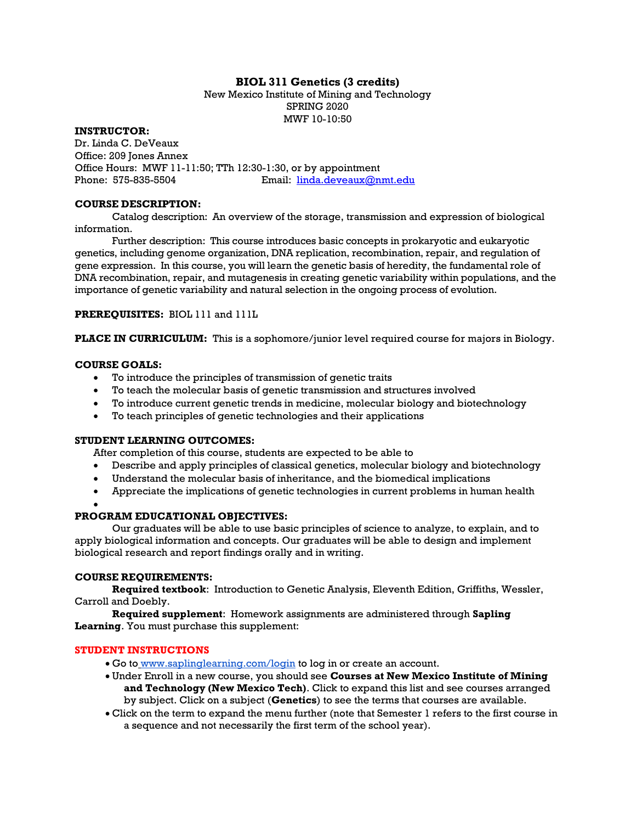## BIOL 311 Genetics (3 credits)

New Mexico Institute of Mining and Technology SPRING 2020 MWF 10-10:50

INSTRUCTOR:

Dr. Linda C. DeVeaux Office: 209 Jones Annex Office Hours: MWF 11-11:50; TTh 12:30-1:30, or by appointment Phone: 575-835-5504 Email: linda.deveaux@nmt.edu

## COURSE DESCRIPTION:

Catalog description: An overview of the storage, transmission and expression of biological information.

Further description: This course introduces basic concepts in prokaryotic and eukaryotic genetics, including genome organization, DNA replication, recombination, repair, and regulation of gene expression. In this course, you will learn the genetic basis of heredity, the fundamental role of DNA recombination, repair, and mutagenesis in creating genetic variability within populations, and the importance of genetic variability and natural selection in the ongoing process of evolution.

PREREQUISITES: BIOL 111 and 111L

PLACE IN CURRICULUM: This is a sophomore/junior level required course for majors in Biology.

## COURSE GOALS:

- To introduce the principles of transmission of genetic traits
- To teach the molecular basis of genetic transmission and structures involved
- To introduce current genetic trends in medicine, molecular biology and biotechnology
- To teach principles of genetic technologies and their applications

## STUDENT LEARNING OUTCOMES:

After completion of this course, students are expected to be able to

- Describe and apply principles of classical genetics, molecular biology and biotechnology
- Understand the molecular basis of inheritance, and the biomedical implications
- Appreciate the implications of genetic technologies in current problems in human health

#### $\bullet$

## PROGRAM EDUCATIONAL OBJECTIVES:

Our graduates will be able to use basic principles of science to analyze, to explain, and to apply biological information and concepts. Our graduates will be able to design and implement biological research and report findings orally and in writing.

#### COURSE REQUIREMENTS:

Required textbook: Introduction to Genetic Analysis, Eleventh Edition, Griffiths, Wessler, Carroll and Doebly.

Required supplement: Homework assignments are administered through Sapling Learning. You must purchase this supplement:

## STUDENT INSTRUCTIONS

- Go to www.saplinglearning.com/login to log in or create an account.
- Under Enroll in a new course, you should see Courses at New Mexico Institute of Mining and Technology (New Mexico Tech). Click to expand this list and see courses arranged by subject. Click on a subject (Genetics) to see the terms that courses are available.
- Click on the term to expand the menu further (note that Semester 1 refers to the first course in a sequence and not necessarily the first term of the school year).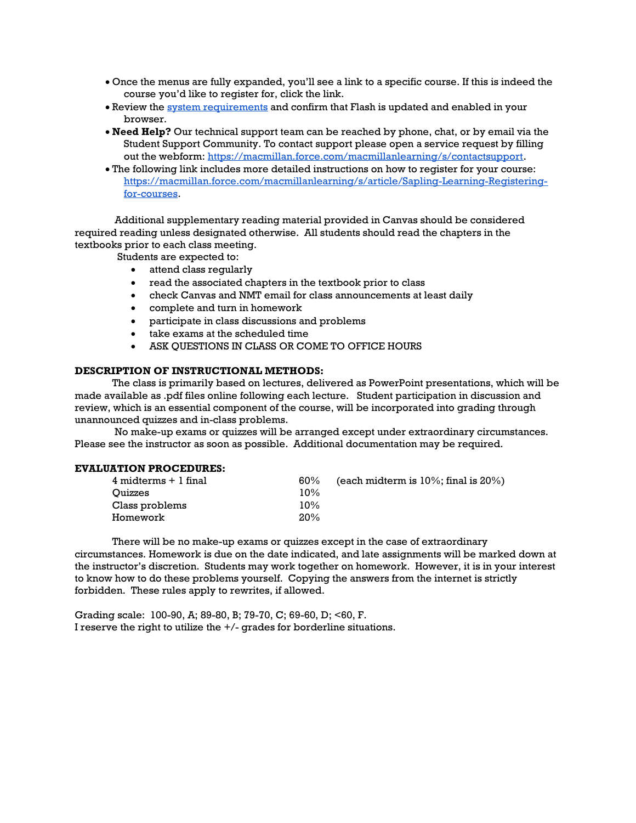- Once the menus are fully expanded, you'll see a link to a specific course. If this is indeed the course you'd like to register for, click the link.
- Review the system requirements and confirm that Flash is updated and enabled in your browser.
- Need Help? Our technical support team can be reached by phone, chat, or by email via the Student Support Community. To contact support please open a service request by filling out the webform: https://macmillan.force.com/macmillanlearning/s/contactsupport.
- The following link includes more detailed instructions on how to register for your course: https://macmillan.force.com/macmillanlearning/s/article/Sapling-Learning-Registeringfor-courses.

 Additional supplementary reading material provided in Canvas should be considered required reading unless designated otherwise. All students should read the chapters in the textbooks prior to each class meeting.

Students are expected to:

- attend class regularly
- read the associated chapters in the textbook prior to class
- check Canvas and NMT email for class announcements at least daily
- complete and turn in homework
- participate in class discussions and problems
- take exams at the scheduled time
- ASK QUESTIONS IN CLASS OR COME TO OFFICE HOURS

#### DESCRIPTION OF INSTRUCTIONAL METHODS:

The class is primarily based on lectures, delivered as PowerPoint presentations, which will be made available as .pdf files online following each lecture. Student participation in discussion and review, which is an essential component of the course, will be incorporated into grading through unannounced quizzes and in-class problems.

 No make-up exams or quizzes will be arranged except under extraordinary circumstances. Please see the instructor as soon as possible. Additional documentation may be required.

#### EVALUATION PROCEDURES:

| $4$ midterms $+1$ final | $60\%$ | (each midterm is $10\%$ ; final is $20\%$ ) |
|-------------------------|--------|---------------------------------------------|
| Ouizzes                 | 10%    |                                             |
| Class problems          | 10%    |                                             |
| Homework                | 20%    |                                             |

There will be no make-up exams or quizzes except in the case of extraordinary circumstances. Homework is due on the date indicated, and late assignments will be marked down at the instructor's discretion. Students may work together on homework. However, it is in your interest to know how to do these problems yourself. Copying the answers from the internet is strictly forbidden. These rules apply to rewrites, if allowed.

Grading scale: 100-90, A; 89-80, B; 79-70, C; 69-60, D; <60, F. I reserve the right to utilize the +/- grades for borderline situations.